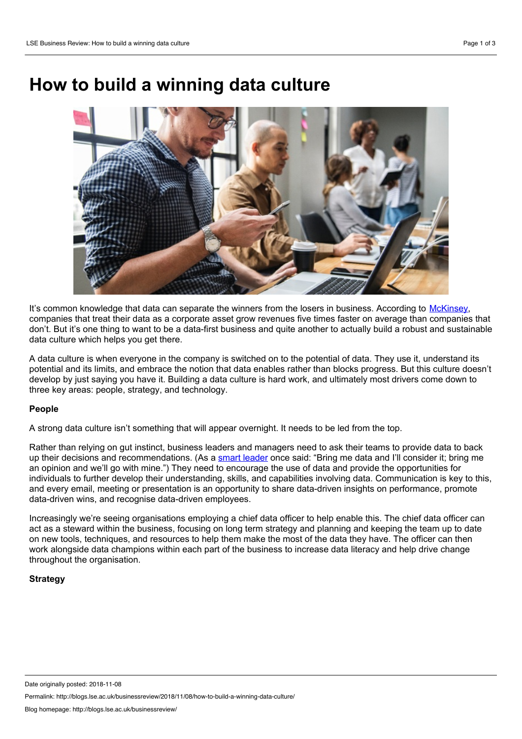# **How tobuild a winning data culture**



It's common knowledge that data can separate the winners from the losers in business. According to [McKinsey,](https://www.mckinsey.com/business-functions/mckinsey-analytics/our-insights/how-companies-are-using-big-data-and-analytics) companies that treat their data as a corporate asset grow revenues five times faster on average than companies that don't. But it's one thing to want to be a data-first business and quite another to actually build a robust and sustainable data culture which helps you get there.

A data culture is when everyone in the company is switched on to the potential of data. They use it, understand its potential and its limits, and embrace the notion that data enables rather than blocks progress. But this culture doesn't develop by just saying you have it. Building a data culture is hard work, and ultimately most drivers come down to three key areas: people, strategy, and technology.

## **People**

A strong data culture isn't something that will appear overnight. It needs to be led from the top.

Rather than relying on gut instinct, business leaders and managers need to ask their teams to provide data to back up their decisions and recommendations. (As a smart [leader](https://www.goodreads.com/quotes/655987-if-we-have-data-let-s-look-at-data-if-all) once said: "Bring me data and I'll consider it; bring me an opinion and we'll go with mine.") They need to encourage the use of data and provide the opportunities for individuals to further develop their understanding, skills, and capabilities involving data. Communication is key to this, and every email, meeting or presentation is an opportunity to share data-driven insights on performance, promote data-driven wins, and recognise data-driven employees.

Increasingly we're seeing organisations employing a chief data officer to help enable this. The chief data officer can act as a steward within the business, focusing on long term strategy and planning and keeping the team up to date on new tools, techniques, and resources to help them make the most of the data they have. The officer can then work alongside data champions within each part of the business to increase data literacy and help drive change throughout the organisation.

## **Strategy**

Permalink: http://blogs.lse.ac.uk/businessreview/2018/11/08/how-to-build-a-winning-data-culture/

Date originally posted: 2018-11-08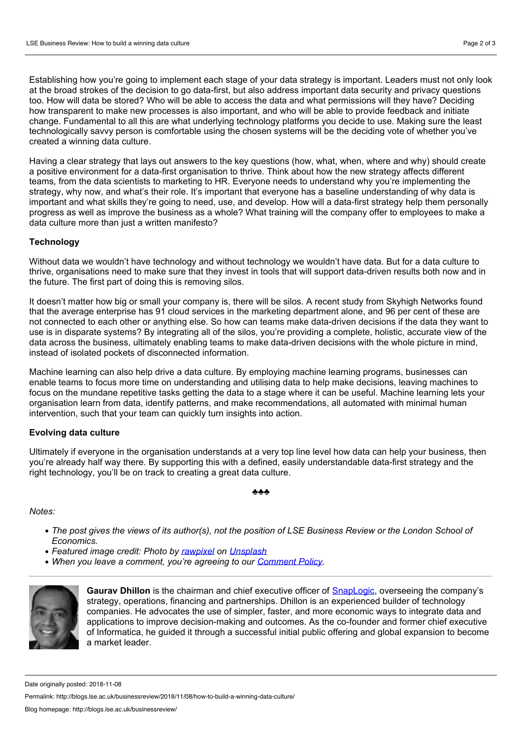Establishing how you're going to implement each stage of your data strategy is important. Leaders must not only look at the broad strokes of the decision to go data-first, but also address important data security and privacy questions too. How will data be stored? Who will be able to access the data and what permissions will they have? Deciding how transparent to make new processes is also important, and who will be able to provide feedback and initiate change. Fundamental to all this are what underlying technology platforms you decide to use. Making sure the least technologically savvy person is comfortable using the chosen systems will be the deciding vote of whether you've created a winning data culture.

Having a clear strategy that lays out answers to the key questions (how, what, when, where and why) should create a positive environment for a data-first organisation to thrive. Think about how the new strategy affects different teams, from the data scientists to marketing to HR. Everyone needs to understand why you're implementing the strategy, why now, and what's their role. It's important that everyone has a baseline understanding of why data is important and what skills they're going to need, use, and develop. How will a data-first strategy help them personally progress as well as improve the business as a whole? What training will the company offer to employees to make a data culture more than just a written manifesto?

## **Technology**

Without data we wouldn't have technology and without technology we wouldn't have data. But for a data culture to thrive, organisations need to make sure that they invest in tools that will support data-driven results both now and in the future. The first part of doing this is removing silos.

It doesn't matter how big or small your company is, there will be silos. A recent study from Skyhigh Networks found that the average enterprise has 91 cloud services in the marketing department alone, and 96 per cent of these are not connected to each other or anything else. So how can teams make data-driven decisions if the data they want to use is in disparate systems? By integrating all of the silos, you're providing a complete, holistic, accurate view of the data across the business, ultimately enabling teams to make data-driven decisions with the whole picture in mind, instead of isolated pockets of disconnected information.

Machine learning can also help drive a data culture. By employing machine learning programs, businesses can enable teams to focus more time on understanding and utilising data to help make decisions, leaving machines to focus on the mundane repetitive tasks getting the data to a stage where it can be useful. Machine learning lets your organisation learn from data, identify patterns, and make recommendations, all automated with minimal human intervention, such that your team can quickly turn insights into action.

## **Evolving data culture**

Ultimately if everyone in the organisation understands at a very top line level how data can help your business, then you're already half way there. By supporting this with a defined, easily understandable data-first strategy and the right technology, you'll be on track to creating a great data culture.

♣♣♣

## *Notes:*

- The post gives the views of its author(s), not the position of LSE Business Review or the London School of *Economics.*
- *Featured image credit: Photo by [rawpixel](https://unsplash.com/photos/7hsDv8uOH7g?utm_source=unsplash&utm_medium=referral&utm_content=creditCopyText) on [Unsplash](https://unsplash.com/search/photos/tech-workers?utm_source=unsplash&utm_medium=referral&utm_content=creditCopyText)*
- *When you leave a comment, you're agreeing to our [Comment](http://blogs.lse.ac.uk/businessreview/comment-policy/) Policy.*



**Gaurav Dhillon** is the chairman and chief executive officer of [SnapLogic,](https://www.snaplogic.com/) overseeing the company's strategy, operations, financing and partnerships. Dhillon is an experienced builder of technology companies. He advocates the use of simpler, faster, and more economic ways to integrate data and applications to improve decision-making and outcomes. As the co-founder and former chief executive of Informatica, he guided it through a successful initial public offering and global expansion to become a market leader.

Permalink: http://blogs.lse.ac.uk/businessreview/2018/11/08/how-to-build-a-winning-data-culture/

Date originally posted: 2018-11-08